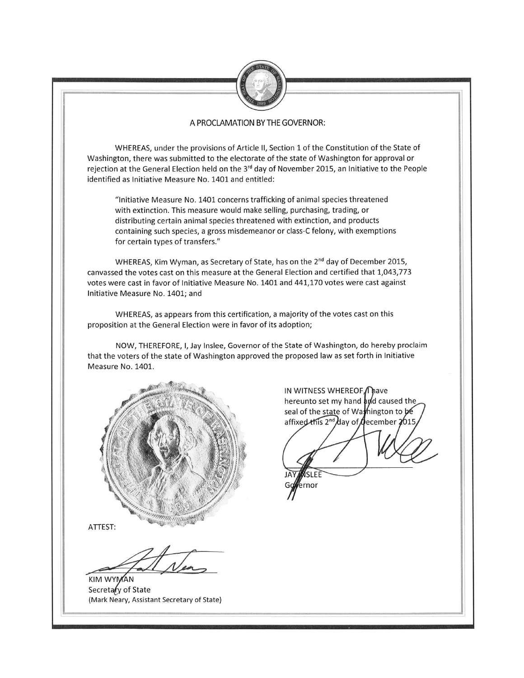

## A PROCLAMATION BY THE GOVERNOR:

WHEREAS, under the provisions of Article II, Section 1 of the Constitution of the State of Washington, there was submitted to the electorate of the state of Washington for approval or rejection at the General Election held on the 3<sup>rd</sup> day of November 2015, an Initiative to the People identified as Initiative Measure No. 1401 and entitled:

"Initiative Measure No. 1401 concerns trafficking of animal species threatened with extinction. This measure would make selling, purchasing, trading, or distributing certain animal species threatened with extinction, and products containing such species, a gross misdemeanor or class-C felony, with exemptions for certain types of transfers."

WHEREAS, Kim Wyman, as Secretary of State, has on the 2<sup>nd</sup> day of December 2015, canvassed the votes cast on this measure at the General Election and certified that 1,043,773 votes were cast in favor of Initiative Measure No. 1401 and 441,170 votes were cast against Initiative Measure No. 1401; and

WHEREAS, as appears from this certification, a majority of the votes cast on this proposition at the General Election were in favor of its adoption;

NOW, THEREFORE, I, Jay Inslee, Governor of the State of Washington, do hereby proclaim that the voters of the state of Washington approved the proposed law as set forth in Initiative Measure No. 1401.



ATTEST:

**KIM WYMAN** Secretary of State (Mark Neary, Assistant Secretary of State)

IN WITNESS WHEREOF, nave hereunto set my hand and caused the seal of the state of Wamington to be affixed this 2<sup>nd</sup> day of december 2015

nor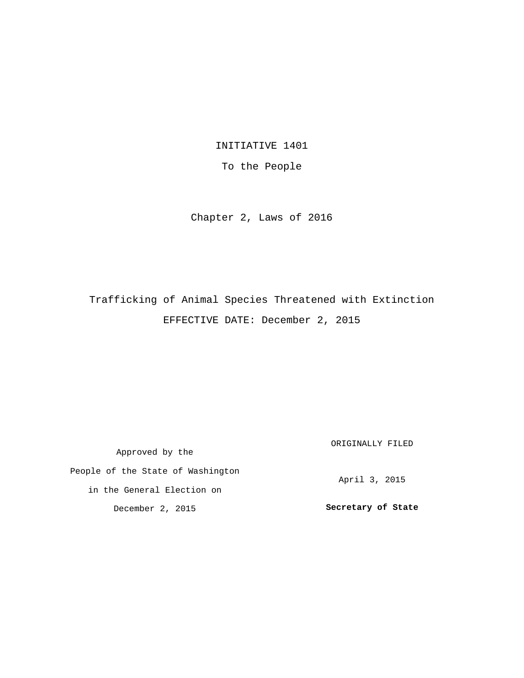INITIATIVE 1401

To the People

Chapter 2, Laws of 2016

Trafficking of Animal Species Threatened with Extinction EFFECTIVE DATE: December 2, 2015

Approved by the People of the State of Washington in the General Election on December 2, 2015 ORIGINALLY FILED April 3, 2015 **Secretary of State**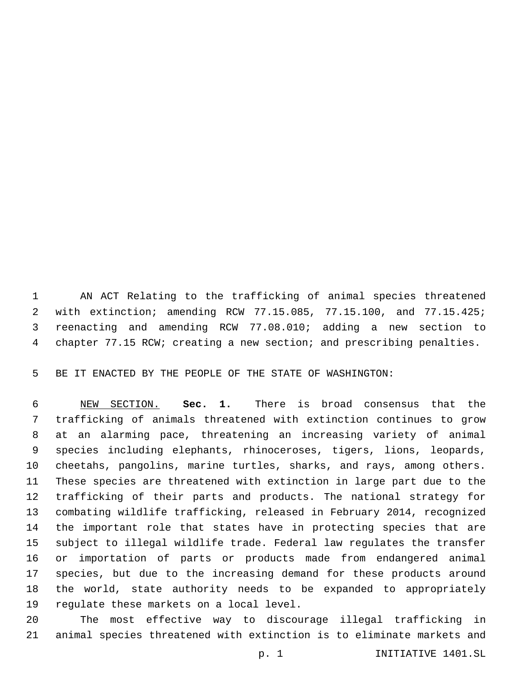AN ACT Relating to the trafficking of animal species threatened with extinction; amending RCW 77.15.085, 77.15.100, and 77.15.425; reenacting and amending RCW 77.08.010; adding a new section to chapter 77.15 RCW; creating a new section; and prescribing penalties.

BE IT ENACTED BY THE PEOPLE OF THE STATE OF WASHINGTON:

 NEW SECTION. **Sec. 1.** There is broad consensus that the trafficking of animals threatened with extinction continues to grow at an alarming pace, threatening an increasing variety of animal species including elephants, rhinoceroses, tigers, lions, leopards, cheetahs, pangolins, marine turtles, sharks, and rays, among others. These species are threatened with extinction in large part due to the trafficking of their parts and products. The national strategy for combating wildlife trafficking, released in February 2014, recognized the important role that states have in protecting species that are subject to illegal wildlife trade. Federal law regulates the transfer or importation of parts or products made from endangered animal species, but due to the increasing demand for these products around the world, state authority needs to be expanded to appropriately regulate these markets on a local level.

 The most effective way to discourage illegal trafficking in animal species threatened with extinction is to eliminate markets and

p. 1 INITIATIVE 1401.SL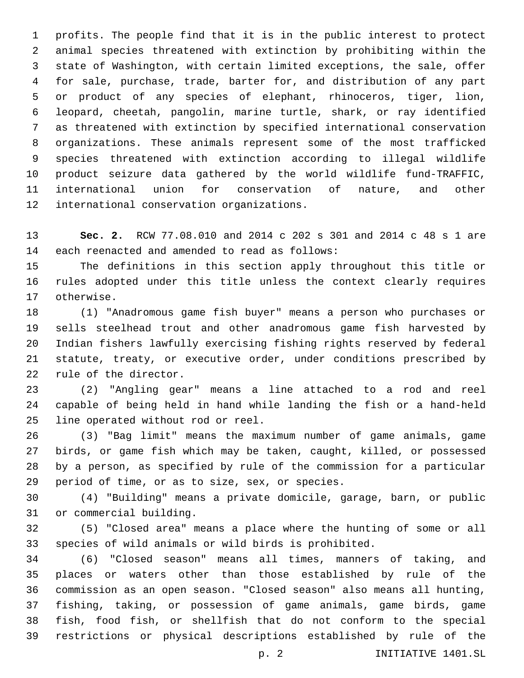profits. The people find that it is in the public interest to protect animal species threatened with extinction by prohibiting within the state of Washington, with certain limited exceptions, the sale, offer for sale, purchase, trade, barter for, and distribution of any part or product of any species of elephant, rhinoceros, tiger, lion, leopard, cheetah, pangolin, marine turtle, shark, or ray identified as threatened with extinction by specified international conservation organizations. These animals represent some of the most trafficked species threatened with extinction according to illegal wildlife product seizure data gathered by the world wildlife fund-TRAFFIC, international union for conservation of nature, and other 12 international conservation organizations.

 **Sec. 2.** RCW 77.08.010 and 2014 c 202 s 301 and 2014 c 48 s 1 are 14 each reenacted and amended to read as follows:

 The definitions in this section apply throughout this title or rules adopted under this title unless the context clearly requires 17 otherwise.

 (1) "Anadromous game fish buyer" means a person who purchases or sells steelhead trout and other anadromous game fish harvested by Indian fishers lawfully exercising fishing rights reserved by federal statute, treaty, or executive order, under conditions prescribed by 22 rule of the director.

 (2) "Angling gear" means a line attached to a rod and reel capable of being held in hand while landing the fish or a hand-held 25 line operated without rod or reel.

 (3) "Bag limit" means the maximum number of game animals, game birds, or game fish which may be taken, caught, killed, or possessed by a person, as specified by rule of the commission for a particular 29 period of time, or as to size, sex, or species.

 (4) "Building" means a private domicile, garage, barn, or public 31 or commercial building.

 (5) "Closed area" means a place where the hunting of some or all species of wild animals or wild birds is prohibited.

 (6) "Closed season" means all times, manners of taking, and places or waters other than those established by rule of the commission as an open season. "Closed season" also means all hunting, fishing, taking, or possession of game animals, game birds, game fish, food fish, or shellfish that do not conform to the special restrictions or physical descriptions established by rule of the

p. 2 INITIATIVE 1401.SL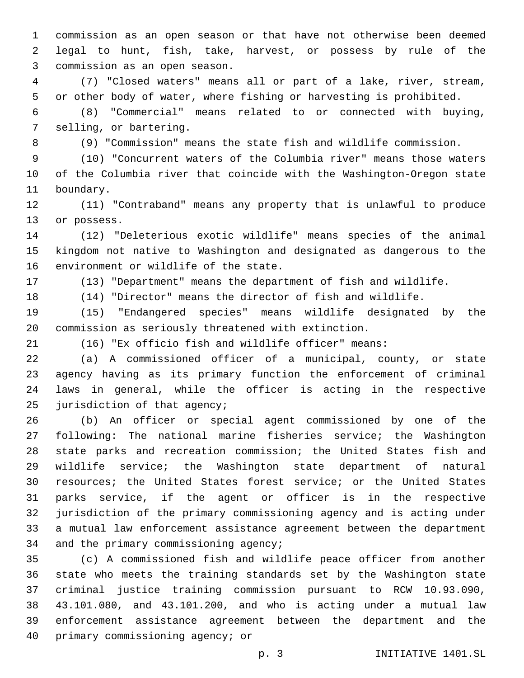commission as an open season or that have not otherwise been deemed legal to hunt, fish, take, harvest, or possess by rule of the 3 commission as an open season.

 (7) "Closed waters" means all or part of a lake, river, stream, or other body of water, where fishing or harvesting is prohibited.

 (8) "Commercial" means related to or connected with buying, 7 selling, or bartering.

(9) "Commission" means the state fish and wildlife commission.

 (10) "Concurrent waters of the Columbia river" means those waters of the Columbia river that coincide with the Washington-Oregon state 11 boundary.

 (11) "Contraband" means any property that is unlawful to produce 13 or possess.

 (12) "Deleterious exotic wildlife" means species of the animal kingdom not native to Washington and designated as dangerous to the 16 environment or wildlife of the state.

(13) "Department" means the department of fish and wildlife.

(14) "Director" means the director of fish and wildlife.

 (15) "Endangered species" means wildlife designated by the commission as seriously threatened with extinction.

(16) "Ex officio fish and wildlife officer" means:

 (a) A commissioned officer of a municipal, county, or state agency having as its primary function the enforcement of criminal laws in general, while the officer is acting in the respective 25 jurisdiction of that agency;

 (b) An officer or special agent commissioned by one of the following: The national marine fisheries service; the Washington state parks and recreation commission; the United States fish and wildlife service; the Washington state department of natural resources; the United States forest service; or the United States parks service, if the agent or officer is in the respective jurisdiction of the primary commissioning agency and is acting under a mutual law enforcement assistance agreement between the department 34 and the primary commissioning agency;

 (c) A commissioned fish and wildlife peace officer from another state who meets the training standards set by the Washington state criminal justice training commission pursuant to RCW 10.93.090, 43.101.080, and 43.101.200, and who is acting under a mutual law enforcement assistance agreement between the department and the 40 primary commissioning agency; or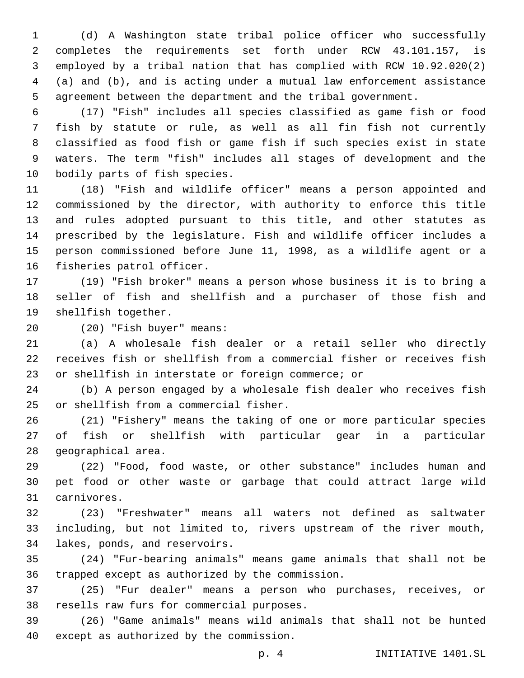(d) A Washington state tribal police officer who successfully completes the requirements set forth under RCW 43.101.157, is employed by a tribal nation that has complied with RCW 10.92.020(2) (a) and (b), and is acting under a mutual law enforcement assistance agreement between the department and the tribal government.

 (17) "Fish" includes all species classified as game fish or food fish by statute or rule, as well as all fin fish not currently classified as food fish or game fish if such species exist in state waters. The term "fish" includes all stages of development and the 10 bodily parts of fish species.

 (18) "Fish and wildlife officer" means a person appointed and commissioned by the director, with authority to enforce this title and rules adopted pursuant to this title, and other statutes as prescribed by the legislature. Fish and wildlife officer includes a person commissioned before June 11, 1998, as a wildlife agent or a 16 fisheries patrol officer.

 (19) "Fish broker" means a person whose business it is to bring a seller of fish and shellfish and a purchaser of those fish and 19 shellfish together.

(20) "Fish buyer" means:20

 (a) A wholesale fish dealer or a retail seller who directly receives fish or shellfish from a commercial fisher or receives fish or shellfish in interstate or foreign commerce; or

 (b) A person engaged by a wholesale fish dealer who receives fish 25 or shellfish from a commercial fisher.

 (21) "Fishery" means the taking of one or more particular species of fish or shellfish with particular gear in a particular 28 geographical area.

 (22) "Food, food waste, or other substance" includes human and pet food or other waste or garbage that could attract large wild carnivores.31

 (23) "Freshwater" means all waters not defined as saltwater including, but not limited to, rivers upstream of the river mouth, 34 lakes, ponds, and reservoirs.

 (24) "Fur-bearing animals" means game animals that shall not be 36 trapped except as authorized by the commission.

 (25) "Fur dealer" means a person who purchases, receives, or 38 resells raw furs for commercial purposes.

 (26) "Game animals" means wild animals that shall not be hunted 40 except as authorized by the commission.

p. 4 INITIATIVE 1401.SL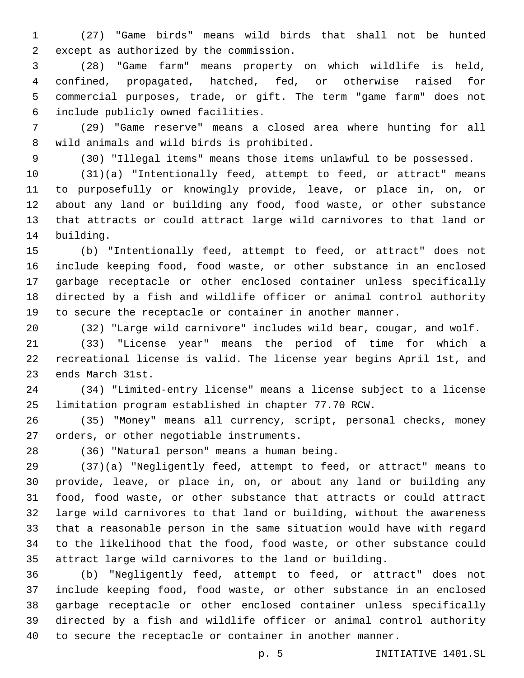(27) "Game birds" means wild birds that shall not be hunted except as authorized by the commission.2

 (28) "Game farm" means property on which wildlife is held, confined, propagated, hatched, fed, or otherwise raised for commercial purposes, trade, or gift. The term "game farm" does not include publicly owned facilities.6

 (29) "Game reserve" means a closed area where hunting for all 8 wild animals and wild birds is prohibited.

(30) "Illegal items" means those items unlawful to be possessed.

 (31)(a) "Intentionally feed, attempt to feed, or attract" means to purposefully or knowingly provide, leave, or place in, on, or about any land or building any food, food waste, or other substance that attracts or could attract large wild carnivores to that land or 14 building.

 (b) "Intentionally feed, attempt to feed, or attract" does not include keeping food, food waste, or other substance in an enclosed garbage receptacle or other enclosed container unless specifically directed by a fish and wildlife officer or animal control authority to secure the receptacle or container in another manner.

(32) "Large wild carnivore" includes wild bear, cougar, and wolf.

 (33) "License year" means the period of time for which a recreational license is valid. The license year begins April 1st, and 23 ends March 31st.

 (34) "Limited-entry license" means a license subject to a license limitation program established in chapter 77.70 RCW.

 (35) "Money" means all currency, script, personal checks, money 27 orders, or other negotiable instruments.

(36) "Natural person" means a human being.28

 (37)(a) "Negligently feed, attempt to feed, or attract" means to provide, leave, or place in, on, or about any land or building any food, food waste, or other substance that attracts or could attract large wild carnivores to that land or building, without the awareness that a reasonable person in the same situation would have with regard to the likelihood that the food, food waste, or other substance could attract large wild carnivores to the land or building.

 (b) "Negligently feed, attempt to feed, or attract" does not include keeping food, food waste, or other substance in an enclosed garbage receptacle or other enclosed container unless specifically directed by a fish and wildlife officer or animal control authority to secure the receptacle or container in another manner.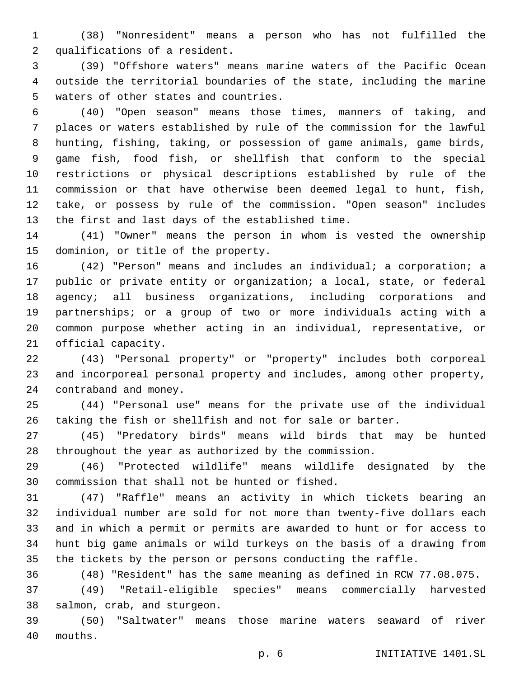(38) "Nonresident" means a person who has not fulfilled the 2 qualifications of a resident.

 (39) "Offshore waters" means marine waters of the Pacific Ocean outside the territorial boundaries of the state, including the marine 5 waters of other states and countries.

 (40) "Open season" means those times, manners of taking, and places or waters established by rule of the commission for the lawful hunting, fishing, taking, or possession of game animals, game birds, game fish, food fish, or shellfish that conform to the special restrictions or physical descriptions established by rule of the commission or that have otherwise been deemed legal to hunt, fish, take, or possess by rule of the commission. "Open season" includes 13 the first and last days of the established time.

 (41) "Owner" means the person in whom is vested the ownership 15 dominion, or title of the property.

 (42) "Person" means and includes an individual; a corporation; a public or private entity or organization; a local, state, or federal agency; all business organizations, including corporations and partnerships; or a group of two or more individuals acting with a common purpose whether acting in an individual, representative, or 21 official capacity.

 (43) "Personal property" or "property" includes both corporeal and incorporeal personal property and includes, among other property, 24 contraband and money.

 (44) "Personal use" means for the private use of the individual taking the fish or shellfish and not for sale or barter.

 (45) "Predatory birds" means wild birds that may be hunted throughout the year as authorized by the commission.

 (46) "Protected wildlife" means wildlife designated by the 30 commission that shall not be hunted or fished.

 (47) "Raffle" means an activity in which tickets bearing an individual number are sold for not more than twenty-five dollars each and in which a permit or permits are awarded to hunt or for access to hunt big game animals or wild turkeys on the basis of a drawing from the tickets by the person or persons conducting the raffle.

(48) "Resident" has the same meaning as defined in RCW 77.08.075.

 (49) "Retail-eligible species" means commercially harvested 38 salmon, crab, and sturgeon.

 (50) "Saltwater" means those marine waters seaward of river mouths.40

p. 6 INITIATIVE 1401.SL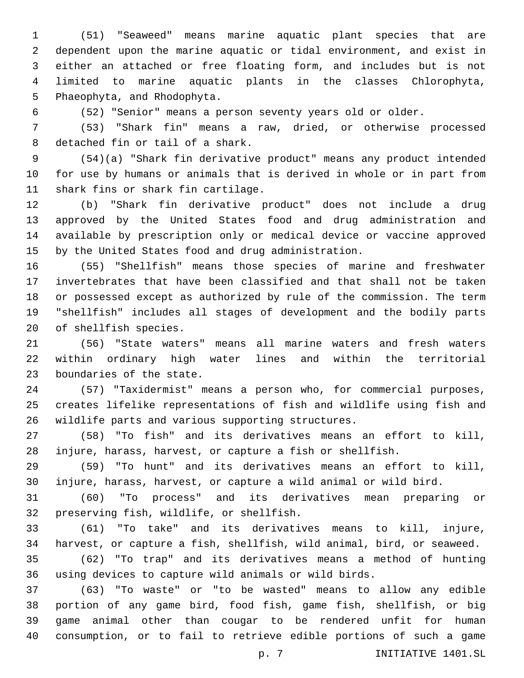(51) "Seaweed" means marine aquatic plant species that are dependent upon the marine aquatic or tidal environment, and exist in either an attached or free floating form, and includes but is not limited to marine aquatic plants in the classes Chlorophyta, 5 Phaeophyta, and Rhodophyta.

(52) "Senior" means a person seventy years old or older.

 (53) "Shark fin" means a raw, dried, or otherwise processed 8 detached fin or tail of a shark.

 (54)(a) "Shark fin derivative product" means any product intended for use by humans or animals that is derived in whole or in part from 11 shark fins or shark fin cartilage.

 (b) "Shark fin derivative product" does not include a drug approved by the United States food and drug administration and available by prescription only or medical device or vaccine approved by the United States food and drug administration.

 (55) "Shellfish" means those species of marine and freshwater invertebrates that have been classified and that shall not be taken or possessed except as authorized by rule of the commission. The term "shellfish" includes all stages of development and the bodily parts 20 of shellfish species.

 (56) "State waters" means all marine waters and fresh waters within ordinary high water lines and within the territorial 23 boundaries of the state.

 (57) "Taxidermist" means a person who, for commercial purposes, creates lifelike representations of fish and wildlife using fish and 26 wildlife parts and various supporting structures.

 (58) "To fish" and its derivatives means an effort to kill, injure, harass, harvest, or capture a fish or shellfish.

 (59) "To hunt" and its derivatives means an effort to kill, injure, harass, harvest, or capture a wild animal or wild bird.

 (60) "To process" and its derivatives mean preparing or 32 preserving fish, wildlife, or shellfish.

 (61) "To take" and its derivatives means to kill, injure, harvest, or capture a fish, shellfish, wild animal, bird, or seaweed.

 (62) "To trap" and its derivatives means a method of hunting using devices to capture wild animals or wild birds.

 (63) "To waste" or "to be wasted" means to allow any edible portion of any game bird, food fish, game fish, shellfish, or big game animal other than cougar to be rendered unfit for human consumption, or to fail to retrieve edible portions of such a game

p. 7 INITIATIVE 1401.SL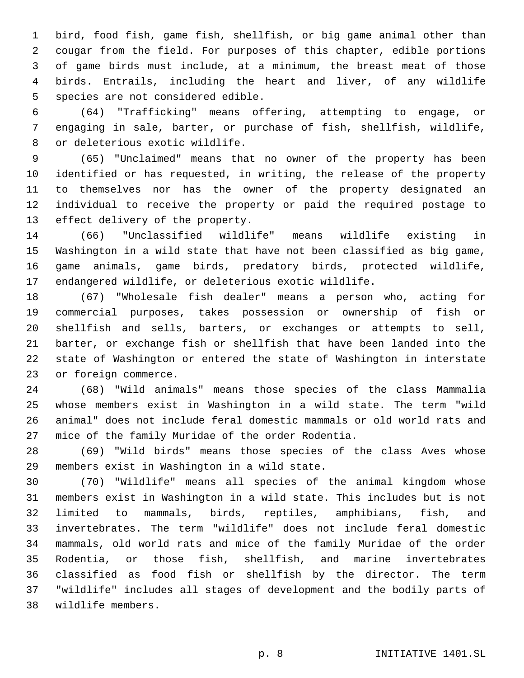bird, food fish, game fish, shellfish, or big game animal other than cougar from the field. For purposes of this chapter, edible portions of game birds must include, at a minimum, the breast meat of those birds. Entrails, including the heart and liver, of any wildlife 5 species are not considered edible.

 (64) "Trafficking" means offering, attempting to engage, or engaging in sale, barter, or purchase of fish, shellfish, wildlife, 8 or deleterious exotic wildlife.

 (65) "Unclaimed" means that no owner of the property has been identified or has requested, in writing, the release of the property to themselves nor has the owner of the property designated an individual to receive the property or paid the required postage to 13 effect delivery of the property.

 (66) "Unclassified wildlife" means wildlife existing in Washington in a wild state that have not been classified as big game, game animals, game birds, predatory birds, protected wildlife, endangered wildlife, or deleterious exotic wildlife.

 (67) "Wholesale fish dealer" means a person who, acting for commercial purposes, takes possession or ownership of fish or shellfish and sells, barters, or exchanges or attempts to sell, barter, or exchange fish or shellfish that have been landed into the state of Washington or entered the state of Washington in interstate 23 or foreign commerce.

 (68) "Wild animals" means those species of the class Mammalia whose members exist in Washington in a wild state. The term "wild animal" does not include feral domestic mammals or old world rats and 27 mice of the family Muridae of the order Rodentia.

 (69) "Wild birds" means those species of the class Aves whose 29 members exist in Washington in a wild state.

 (70) "Wildlife" means all species of the animal kingdom whose members exist in Washington in a wild state. This includes but is not limited to mammals, birds, reptiles, amphibians, fish, and invertebrates. The term "wildlife" does not include feral domestic mammals, old world rats and mice of the family Muridae of the order Rodentia, or those fish, shellfish, and marine invertebrates classified as food fish or shellfish by the director. The term "wildlife" includes all stages of development and the bodily parts of wildlife members.38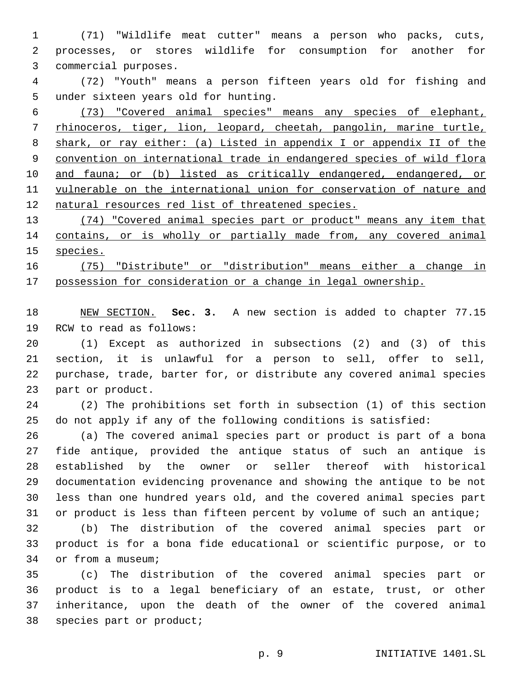(71) "Wildlife meat cutter" means a person who packs, cuts, processes, or stores wildlife for consumption for another for 3 commercial purposes.

 (72) "Youth" means a person fifteen years old for fishing and 5 under sixteen years old for hunting.

 (73) "Covered animal species" means any species of elephant, rhinoceros, tiger, lion, leopard, cheetah, pangolin, marine turtle, shark, or ray either: (a) Listed in appendix I or appendix II of the convention on international trade in endangered species of wild flora 10 and fauna; or (b) listed as critically endangered, endangered, or vulnerable on the international union for conservation of nature and natural resources red list of threatened species.

 (74) "Covered animal species part or product" means any item that contains, or is wholly or partially made from, any covered animal species.

 (75) "Distribute" or "distribution" means either a change in possession for consideration or a change in legal ownership.

 NEW SECTION. **Sec. 3.** A new section is added to chapter 77.15 19 RCW to read as follows:

 (1) Except as authorized in subsections (2) and (3) of this section, it is unlawful for a person to sell, offer to sell, purchase, trade, barter for, or distribute any covered animal species 23 part or product.

 (2) The prohibitions set forth in subsection (1) of this section do not apply if any of the following conditions is satisfied:

 (a) The covered animal species part or product is part of a bona fide antique, provided the antique status of such an antique is established by the owner or seller thereof with historical documentation evidencing provenance and showing the antique to be not less than one hundred years old, and the covered animal species part or product is less than fifteen percent by volume of such an antique;

 (b) The distribution of the covered animal species part or product is for a bona fide educational or scientific purpose, or to 34 or from a museum;

 (c) The distribution of the covered animal species part or product is to a legal beneficiary of an estate, trust, or other inheritance, upon the death of the owner of the covered animal 38 species part or product;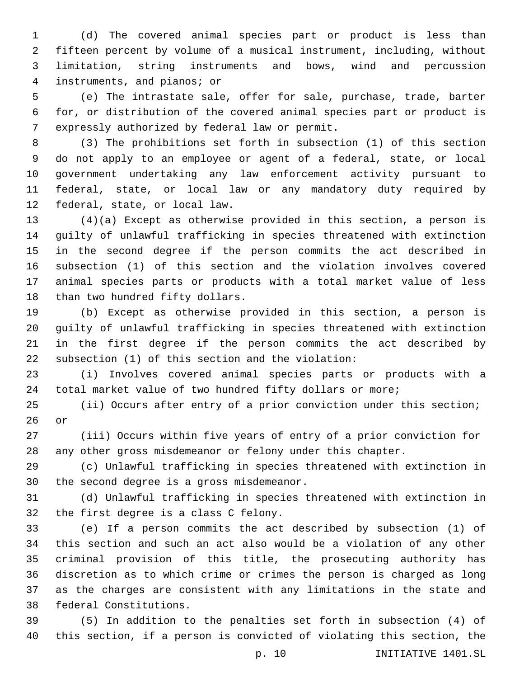(d) The covered animal species part or product is less than fifteen percent by volume of a musical instrument, including, without limitation, string instruments and bows, wind and percussion instruments, and pianos; or4

 (e) The intrastate sale, offer for sale, purchase, trade, barter for, or distribution of the covered animal species part or product is 7 expressly authorized by federal law or permit.

 (3) The prohibitions set forth in subsection (1) of this section do not apply to an employee or agent of a federal, state, or local government undertaking any law enforcement activity pursuant to federal, state, or local law or any mandatory duty required by 12 federal, state, or local law.

 (4)(a) Except as otherwise provided in this section, a person is guilty of unlawful trafficking in species threatened with extinction in the second degree if the person commits the act described in subsection (1) of this section and the violation involves covered animal species parts or products with a total market value of less 18 than two hundred fifty dollars.

 (b) Except as otherwise provided in this section, a person is guilty of unlawful trafficking in species threatened with extinction in the first degree if the person commits the act described by 22 subsection (1) of this section and the violation:

 (i) Involves covered animal species parts or products with a total market value of two hundred fifty dollars or more;

 (ii) Occurs after entry of a prior conviction under this section; 26 or

 (iii) Occurs within five years of entry of a prior conviction for any other gross misdemeanor or felony under this chapter.

 (c) Unlawful trafficking in species threatened with extinction in 30 the second degree is a gross misdemeanor.

 (d) Unlawful trafficking in species threatened with extinction in 32 the first degree is a class C felony.

 (e) If a person commits the act described by subsection (1) of this section and such an act also would be a violation of any other criminal provision of this title, the prosecuting authority has discretion as to which crime or crimes the person is charged as long as the charges are consistent with any limitations in the state and 38 federal Constitutions.

 (5) In addition to the penalties set forth in subsection (4) of this section, if a person is convicted of violating this section, the

p. 10 INITIATIVE 1401.SL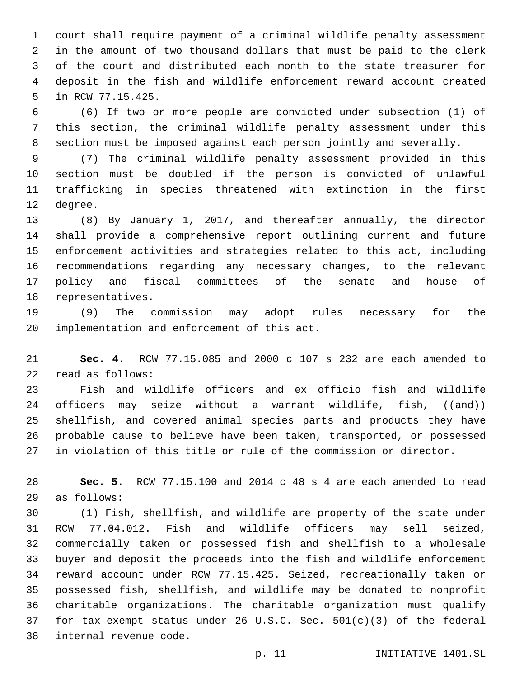court shall require payment of a criminal wildlife penalty assessment in the amount of two thousand dollars that must be paid to the clerk of the court and distributed each month to the state treasurer for deposit in the fish and wildlife enforcement reward account created 5 in RCW 77.15.425.

 (6) If two or more people are convicted under subsection (1) of this section, the criminal wildlife penalty assessment under this section must be imposed against each person jointly and severally.

 (7) The criminal wildlife penalty assessment provided in this section must be doubled if the person is convicted of unlawful trafficking in species threatened with extinction in the first 12 degree.

 (8) By January 1, 2017, and thereafter annually, the director shall provide a comprehensive report outlining current and future enforcement activities and strategies related to this act, including recommendations regarding any necessary changes, to the relevant policy and fiscal committees of the senate and house of 18 representatives.

 (9) The commission may adopt rules necessary for the 20 implementation and enforcement of this act.

 **Sec. 4.** RCW 77.15.085 and 2000 c 107 s 232 are each amended to read as follows:22

 Fish and wildlife officers and ex officio fish and wildlife 24 officers may seize without a warrant wildlife, fish, ((and)) 25 shellfish, and covered animal species parts and products they have probable cause to believe have been taken, transported, or possessed in violation of this title or rule of the commission or director.

 **Sec. 5.** RCW 77.15.100 and 2014 c 48 s 4 are each amended to read as follows:29

 (1) Fish, shellfish, and wildlife are property of the state under RCW 77.04.012. Fish and wildlife officers may sell seized, commercially taken or possessed fish and shellfish to a wholesale buyer and deposit the proceeds into the fish and wildlife enforcement reward account under RCW 77.15.425. Seized, recreationally taken or possessed fish, shellfish, and wildlife may be donated to nonprofit charitable organizations. The charitable organization must qualify for tax-exempt status under 26 U.S.C. Sec. 501(c)(3) of the federal 38 internal revenue code.

p. 11 **INITIATIVE 1401.SL**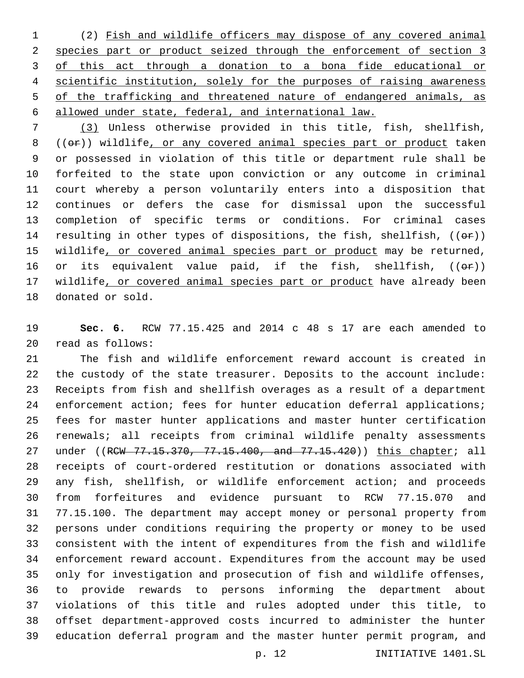(2) Fish and wildlife officers may dispose of any covered animal species part or product seized through the enforcement of section 3 of this act through a donation to a bona fide educational or scientific institution, solely for the purposes of raising awareness 5 of the trafficking and threatened nature of endangered animals, as allowed under state, federal, and international law.

 (3) Unless otherwise provided in this title, fish, shellfish, 8 (( $\Theta$ )) wildlife, or any covered animal species part or product taken or possessed in violation of this title or department rule shall be forfeited to the state upon conviction or any outcome in criminal court whereby a person voluntarily enters into a disposition that continues or defers the case for dismissal upon the successful completion of specific terms or conditions. For criminal cases 14 resulting in other types of dispositions, the fish, shellfish,  $((e^{\alpha})^{\alpha})$ 15 wildlife, or covered animal species part or product may be returned, 16 or its equivalent value paid, if the fish, shellfish,  $((\theta \cdot \hat{r}))$  wildlife, or covered animal species part or product have already been 18 donated or sold.

 **Sec. 6.** RCW 77.15.425 and 2014 c 48 s 17 are each amended to read as follows:20

 The fish and wildlife enforcement reward account is created in the custody of the state treasurer. Deposits to the account include: Receipts from fish and shellfish overages as a result of a department 24 enforcement action; fees for hunter education deferral applications; fees for master hunter applications and master hunter certification renewals; all receipts from criminal wildlife penalty assessments 27 under ((RCW 77.15.370, 77.15.400, and 77.15.420)) this chapter; all receipts of court-ordered restitution or donations associated with any fish, shellfish, or wildlife enforcement action; and proceeds from forfeitures and evidence pursuant to RCW 77.15.070 and 77.15.100. The department may accept money or personal property from persons under conditions requiring the property or money to be used consistent with the intent of expenditures from the fish and wildlife enforcement reward account. Expenditures from the account may be used only for investigation and prosecution of fish and wildlife offenses, to provide rewards to persons informing the department about violations of this title and rules adopted under this title, to offset department-approved costs incurred to administer the hunter education deferral program and the master hunter permit program, and

p. 12 INITIATIVE 1401.SL